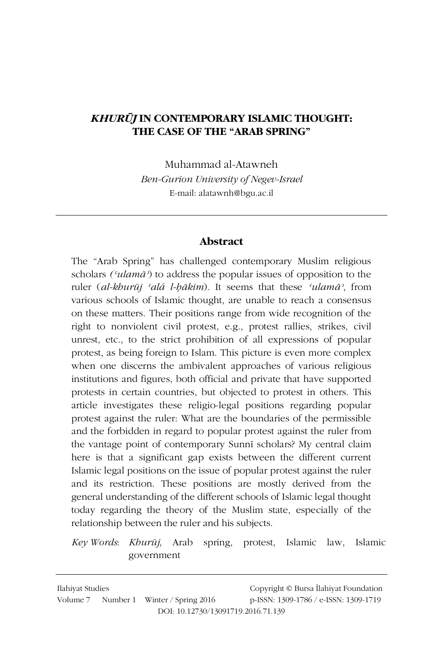### **KHURŪJ IN CONTEMPORARY ISLAMIC THOUGHT:** THE CASE OF THE "ARAB SPRING"

Muhammad al-Atawneh

Ben-Gurion University of Negev-Israel E-mail: alatawnh@bgu.ac.il

#### **Abstract**

The "Arab Spring" has challenged contemporary Muslim religious scholars ( $\alpha$ lam $\bar{a}$ ) to address the popular issues of opposition to the ruler (al-khurūj 'alá l-bākim). It seems that these 'ulamā', from various schools of Islamic thought, are unable to reach a consensus on these matters. Their positions range from wide recognition of the right to nonviolent civil protest, e.g., protest rallies, strikes, civil unrest, etc., to the strict prohibition of all expressions of popular protest, as being foreign to Islam. This picture is even more complex when one discerns the ambivalent approaches of various religious institutions and figures, both official and private that have supported protests in certain countries, but objected to protest in others. This article investigates these religio-legal positions regarding popular protest against the ruler: What are the boundaries of the permissible and the forbidden in regard to popular protest against the ruler from the vantage point of contemporary Sunnī scholars? My central claim here is that a significant gap exists between the different current Islamic legal positions on the issue of popular protest against the ruler and its restriction. These positions are mostly derived from the general understanding of the different schools of Islamic legal thought today regarding the theory of the Muslim state, especially of the relationship between the ruler and his subjects.

Key Words: Khurūj, Arab spring, protest, Islamic law, Islamic government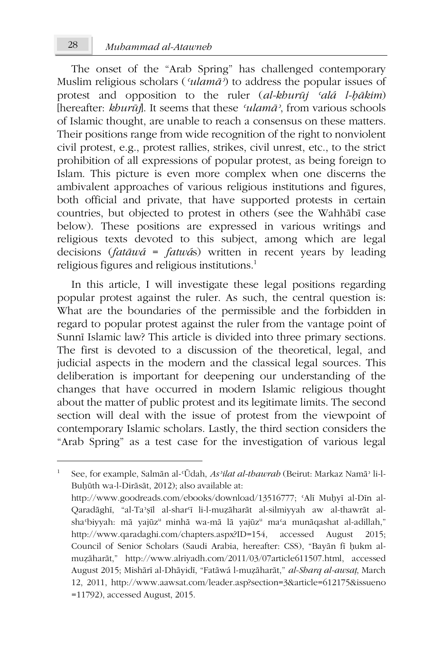The onset of the "Arab Spring" has challenged contemporary Muslim religious scholars (' $ulam\bar{a}$ ) to address the popular issues of protest and opposition to the ruler *(al-kburūj 'alá l-bākim)* [hereafter: khurūj]. It seems that these 'ulamā', from various schools of Islamic thought, are unable to reach a consensus on these matters. Their positions range from wide recognition of the right to nonviolent civil protest, e.g., protest rallies, strikes, civil unrest, etc., to the strict prohibition of all expressions of popular protest, as being foreign to Islam. This picture is even more complex when one discerns the ambivalent approaches of various religious institutions and figures, both official and private, that have supported protests in certain countries, but objected to protest in others (see the Wahhābī case below). These positions are expressed in various writings and religious texts devoted to this subject, among which are legal decisions (*fatāwá* = *fatwás*) written in recent years by leading religious figures and religious institutions.<sup>1</sup>

In this article, I will investigate these legal positions regarding popular protest against the ruler. As such, the central question is: What are the boundaries of the permissible and the forbidden in regard to popular protest against the ruler from the vantage point of Sunnī Islamic law? This article is divided into three primary sections. The first is devoted to a discussion of the theoretical, legal, and judicial aspects in the modern and the classical legal sources. This deliberation is important for deepening our understanding of the changes that have occurred in modern Islamic religious thought about the matter of public protest and its legitimate limits. The second section will deal with the issue of protest from the viewpoint of contemporary Islamic scholars. Lastly, the third section considers the "Arab Spring" as a test case for the investigation of various legal

See, for example, Salmān al-'Ūdah, As'ilat al-thawrah (Beirut: Markaz Namā' li-l-Buhūth wa-l-Dirāsāt, 2012); also available at: http://www.goodreads.com/ebooks/download/13516777; 'Alī Muhyī al-Dīn al-Qaradāghī, "al-Ta'șīl al-shar'ī li-l-muzāharāt al-silmiyyah aw al-thawrāt alsha'biyyah: mā yajūz<sup>u</sup> minhā wa-mā lā yajūz<sup>u</sup> ma'a munāqashat al-adillah," http://www.qaradaghi.com/chapters.aspx?ID=154, accessed August  $2015:$ Council of Senior Scholars (Saudi Arabia, hereafter: CSS), "Bayān fī hukm almuzāharāt," http://www.alriyadh.com/2011/03/07article611507.html, accessed August 2015; Mishārī al-Dhāyidī, "Fatāwá l-muzāharāt," al-Sharq al-awsaț, March 12, 2011, http://www.aawsat.com/leader.asp?section=3&article=612175&issueno

 $=11792$ ), accessed August, 2015.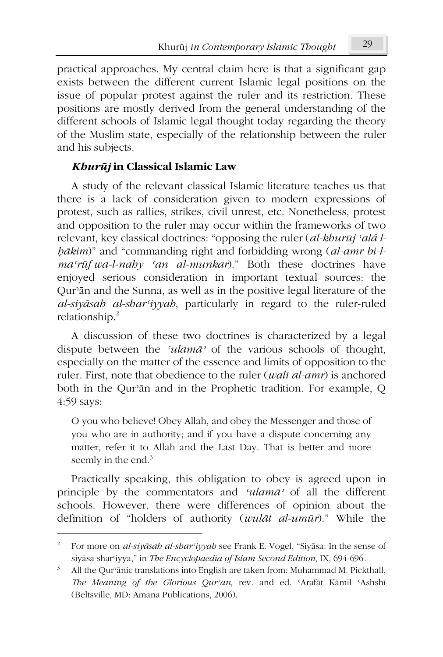practical approaches. My central claim here is that a significant gap exists between the different current Islamic legal positions on the issue of popular protest against the ruler and its restriction. These positions are mostly derived from the general understanding of the different schools of Islamic legal thought today regarding the theory of the Muslim state, especially of the relationship between the ruler and his subjects.

## Khurūj in Classical Islamic Law

A study of the relevant classical Islamic literature teaches us that there is a lack of consideration given to modern expressions of protest, such as rallies, strikes, civil unrest, etc. Nonetheless, protest and opposition to the ruler may occur within the frameworks of two relevant, key classical doctrines: "opposing the ruler (al-khurūj 'alá lbākim)" and "commanding right and forbidding wrong (al-amr bi-lma'rūf wa-l-nahy 'an al-munkar)." Both these doctrines have enjoyed serious consideration in important textual sources: the Qur'an and the Sunna, as well as in the positive legal literature of the al-siyāsab al-shar'iyyah, particularly in regard to the ruler-ruled relationship.<sup>2</sup>

A discussion of these two doctrines is characterized by a legal dispute between the 'ulamā' of the various schools of thought, especially on the matter of the essence and limits of opposition to the ruler. First, note that obedience to the ruler (wali al-amr) is anchored both in the Qur'an and in the Prophetic tradition. For example, Q 4:59 says:

O you who believe! Obey Allah, and obey the Messenger and those of you who are in authority; and if you have a dispute concerning any matter, refer it to Allah and the Last Day. That is better and more seemly in the end.<sup>3</sup>

Practically speaking, this obligation to obey is agreed upon in principle by the commentators and 'ulamā' of all the different schools. However, there were differences of opinion about the definition of "holders of authority (wulāt al-umūr)." While the

For more on al-siyāsah al-shar'iyyah see Frank E. Vogel, "Siyāsa: In the sense of siyāsa shar'iyya," in The Encyclopaedia of Islam Second Edition, IX, 694-696.

 $3 -$ All the Qur'anic translations into English are taken from: Muhammad M. Pickthall, The Meaning of the Glorious Qur'an, rev. and ed. 'Arafāt Kāmil 'Ashshī (Beltsville, MD: Amana Publications, 2006).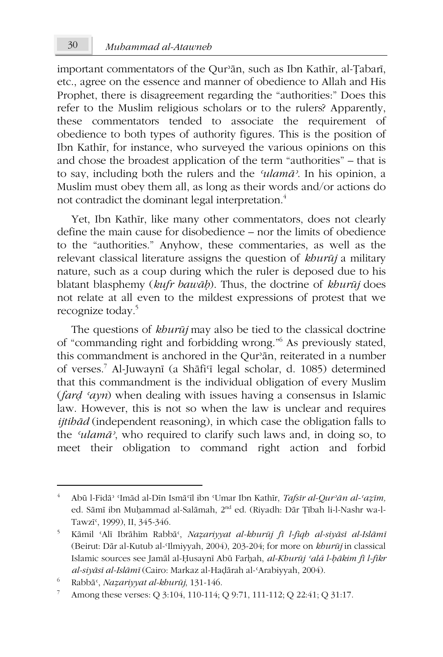$30$ 

important commentators of the Qur'an, such as Ibn Kathir, al-Țabari, etc., agree on the essence and manner of obedience to Allah and His Prophet, there is disagreement regarding the "authorities:" Does this refer to the Muslim religious scholars or to the rulers? Apparently, these commentators tended to associate the requirement of obedience to both types of authority figures. This is the position of Ibn Kathīr, for instance, who surveyed the various opinions on this and chose the broadest application of the term "authorities" – that is to sav. including both the rulers and the 'ulamā'. In his opinion, a Muslim must obey them all, as long as their words and/or actions do not contradict the dominant legal interpretation.<sup>4</sup>

Yet, Ibn Kathīr, like many other commentators, does not clearly define the main cause for disobedience – nor the limits of obedience to the "authorities." Anyhow, these commentaries, as well as the relevant classical literature assigns the question of khurūj a military nature, such as a coup during which the ruler is deposed due to his blatant blasphemy (kufr bawāh). Thus, the doctrine of khurūj does not relate at all even to the mildest expressions of protest that we recognize today.<sup>5</sup>

The questions of *kburūj* may also be tied to the classical doctrine of "commanding right and forbidding wrong."<sup>6</sup> As previously stated, this commandment is anchored in the Qur'ān, reiterated in a number of verses.<sup>7</sup> Al-Juwaynī (a Shāfi'ī legal scholar, d. 1085) determined that this commandment is the individual obligation of every Muslim *(fard 'ayn)* when dealing with issues having a consensus in Islamic law. However, this is not so when the law is unclear and requires *ijtibād* (independent reasoning), in which case the obligation falls to the 'ulamā', who required to clarify such laws and, in doing so, to meet their obligation to command right action and forbid

 $\overline{4}$ Abū l-Fidā<sup>, «</sup>Imād al-Dīn Ismā<sup>c</sup>īl ibn «Umar Ibn Kathīr, *Tafsīr al-Qur<sup>,</sup>ān al-'azīm*, ed. Sāmī ibn Muhammad al-Salāmah, 2<sup>nd</sup> ed. (Riyadh: Dār Țībah li-l-Nashr wa-l-Tawzī<sup>c</sup>, 1999), II, 345-346.

 $5<sup>5</sup>$ Kāmil 'Alī Ibrāhīm Rabbā', Nazariyyat al-khurūj fī l-fiqh al-siyāsī al-Islāmī (Beirut: Dār al-Kutub al-'Ilmiyyah, 2004), 203-204; for more on khurūj in classical Islamic sources see Jamāl al-Ḥusaynī Abū Farḥah, al-Khurūj 'alá l-ḥākim fī l-fikr al-siyāsī al-Islāmī (Cairo: Markaz al-Hadārah al-'Arabiyyah, 2004).

<sup>6</sup> Rabbā<sup>c</sup>, Nazariyyat al-khurūj, 131-146.

 $\overline{\mathbf{7}}$ Among these verses: Q 3:104, 110-114; Q 9:71, 111-112; Q 22:41; Q 31:17.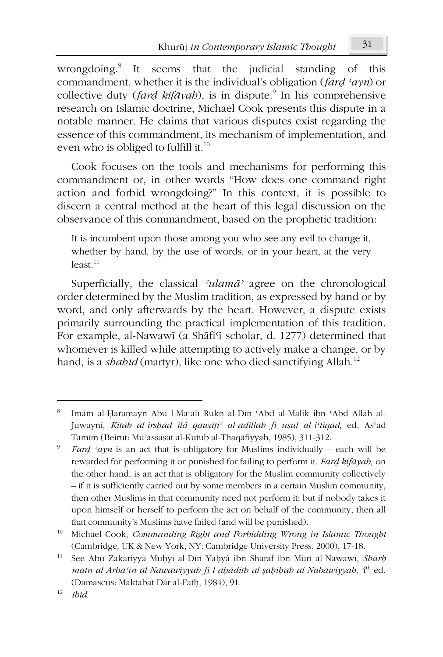wrongdoing.<sup>8</sup> It seems that the judicial standing of this commandment, whether it is the individual's obligation (fard 'ayn) or collective duty (*fard kifayab*), is in dispute.<sup>9</sup> In his comprehensive research on Islamic doctrine, Michael Cook presents this dispute in a notable manner. He claims that various disputes exist regarding the essence of this commandment, its mechanism of implementation, and even who is obliged to fulfill it.<sup>10</sup>

Cook focuses on the tools and mechanisms for performing this commandment or, in other words "How does one command right action and forbid wrongdoing?" In this context, it is possible to discern a central method at the heart of this legal discussion on the observance of this commandment, based on the prophetic tradition:

It is incumbent upon those among you who see any evil to change it, whether by hand, by the use of words, or in your heart, at the very  $least<sup>11</sup>$ 

Superficially, the classical 'ulama' agree on the chronological order determined by the Muslim tradition, as expressed by hand or by word, and only afterwards by the heart. However, a dispute exists primarily surrounding the practical implementation of this tradition. For example, al-Nawawī (a Shāfi'i scholar, d. 1277) determined that whomever is killed while attempting to actively make a change, or by hand, is a shahīd (martyr), like one who died sanctifying Allah.<sup>12</sup>

<sup>8</sup> Imām al-Ḥaramayn Abū l-Ma'ālī Rukn al-Dīn 'Abd al-Malik ibn 'Abd Allāh al-Juwaynī, Kitāb al-irshād ilá qawāți<sup>c</sup> al-adillah fī ușūl al-i'tiqād, ed. As'ad Tamīm (Beirut: Mu'assasat al-Kutub al-Thaqāfiyyah, 1985), 311-312.

Fard 'ayn is an act that is obligatory for Muslims individually – each will be rewarded for performing it or punished for failing to perform it. Fard kifayah, on the other hand, is an act that is obligatory for the Muslim community collectively - if it is sufficiently carried out by some members in a certain Muslim community, then other Muslims in that community need not perform it; but if nobody takes it upon himself or herself to perform the act on behalf of the community, then all that community's Muslims have failed (and will be punished).

<sup>10</sup> Michael Cook, Commanding Right and Forbidding Wrong in Islamic Thought (Cambridge, UK & New York, NY: Cambridge University Press, 2000), 17-18.

 $11\,$ See Abū Zakariyyā Muḥyī al-Dīn Yaḥyá ibn Sharaf ibn Mūrī al-Nawawī, Sharh matn al-Arba'in al-Nawawiyyah fi l-aḥādīth al-ṣaḥīḥah al-Nabawiyyah, 4th ed. (Damascus: Maktabat Dār al-Fath, 1984), 91.

<sup>12</sup> **Ihid**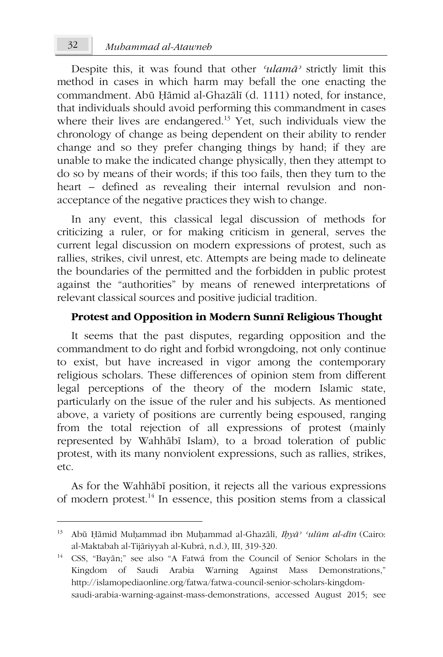Despite this, it was found that other 'ulamā' strictly limit this method in cases in which harm may befall the one enacting the commandment. Abū Hāmid al-Ghazālī (d. 1111) noted, for instance, that individuals should avoid performing this commandment in cases where their lives are endangered.<sup>13</sup> Yet, such individuals view the chronology of change as being dependent on their ability to render change and so they prefer changing things by hand; if they are unable to make the indicated change physically, then they attempt to do so by means of their words; if this too fails, then they turn to the heart – defined as revealing their internal revulsion and nonacceptance of the negative practices they wish to change.

In any event, this classical legal discussion of methods for criticizing a ruler, or for making criticism in general, serves the current legal discussion on modern expressions of protest, such as rallies, strikes, civil unrest, etc. Attempts are being made to delineate the boundaries of the permitted and the forbidden in public protest against the "authorities" by means of renewed interpretations of relevant classical sources and positive judicial tradition.

# Protest and Opposition in Modern Sunnī Religious Thought

It seems that the past disputes, regarding opposition and the commandment to do right and forbid wrongdoing, not only continue to exist, but have increased in vigor among the contemporary religious scholars. These differences of opinion stem from different legal perceptions of the theory of the modern Islamic state, particularly on the issue of the ruler and his subjects. As mentioned above, a variety of positions are currently being espoused, ranging from the total rejection of all expressions of protest (mainly represented by Wahhābī Islam), to a broad toleration of public protest, with its many nonviolent expressions, such as rallies, strikes,  $etc.$ 

As for the Wahhābī position, it rejects all the various expressions of modern protest.<sup>14</sup> In essence, this position stems from a classical

<sup>&</sup>lt;sup>13</sup> Abū Ḥāmid Muḥammad ibn Muḥammad al-Ghazālī, Ibyā<sup>, c</sup>ulūm al-dīn (Cairo: al-Maktabah al-Tijāriyyah al-Kubrá, n.d.), III, 319-320.

<sup>&</sup>lt;sup>14</sup> CSS, "Bayān;" see also "A Fatwá from the Council of Senior Scholars in the Kingdom of Saudi Arabia Warning Against Mass Demonstrations," http://islamopediaonline.org/fatwa/fatwa-council-senior-scholars-kingdomsaudi-arabia-warning-against-mass-demonstrations, accessed August 2015; see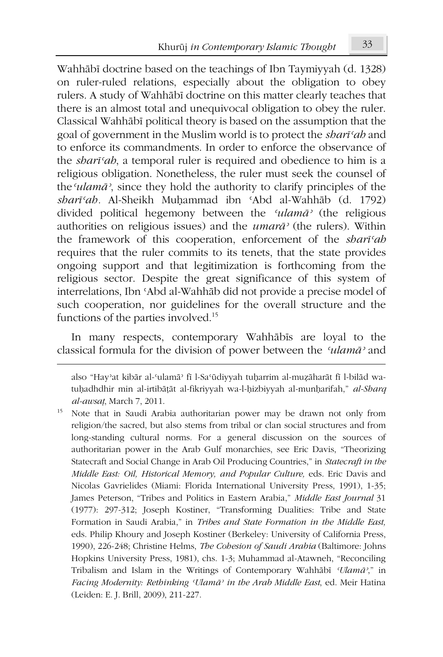Wahhābī doctrine based on the teachings of Ibn Taymiyyah (d. 1328) on ruler-ruled relations, especially about the obligation to obey rulers. A study of Wahhābī doctrine on this matter clearly teaches that there is an almost total and unequivocal obligation to obey the ruler. Classical Wahhābī political theory is based on the assumption that the goal of government in the Muslim world is to protect the *shart'ab* and to enforce its commandments. In order to enforce the observance of the shari'ah, a temporal ruler is required and obedience to him is a religious obligation. Nonetheless, the ruler must seek the counsel of the *ulama*<sup>2</sup>, since they hold the authority to clarify principles of the sharī'ah. Al-Sheikh Muḥammad ibn 'Abd al-Wahhāb (d. 1792) divided political hegemony between the 'ulamā' (the religious authorities on religious issues) and the  $\mu$ mara<sup>3</sup> (the rulers). Within the framework of this cooperation, enforcement of the shari'ah requires that the ruler commits to its tenets, that the state provides ongoing support and that legitimization is forthcoming from the religious sector. Despite the great significance of this system of interrelations, Ibn 'Abd al-Wahhāb did not provide a precise model of such cooperation, nor guidelines for the overall structure and the functions of the parties involved.<sup>15</sup>

In many respects, contemporary Wahhābīs are loyal to the classical formula for the division of power between the 'ulamā' and

also "Hay'at kibār al-'ulamā' fī l-Sa'ūdiyyah tuḥarrim al-muẓāharāt fī l-bilād watuhadhdhir min al-irtibāțāt al-fikriyyah wa-l-hizbiyyah al-munharifah," al-Sharq al-awsat, March 7, 2011.

<sup>15</sup> Note that in Saudi Arabia authoritarian power may be drawn not only from religion/the sacred, but also stems from tribal or clan social structures and from long-standing cultural norms. For a general discussion on the sources of authoritarian power in the Arab Gulf monarchies, see Eric Davis, "Theorizing Statecraft and Social Change in Arab Oil Producing Countries," in Statecraft in the Middle East: Oil, Historical Memory, and Popular Culture, eds. Eric Davis and Nicolas Gavrielides (Miami: Florida International University Press, 1991), 1-35; James Peterson, "Tribes and Politics in Eastern Arabia," Middle East Journal 31 (1977): 297-312; Joseph Kostiner, "Transforming Dualities: Tribe and State Formation in Saudi Arabia," in Tribes and State Formation in the Middle East, eds. Philip Khoury and Joseph Kostiner (Berkeley: University of California Press, 1990), 226-248; Christine Helms, The Cohesion of Saudi Arabia (Baltimore: Johns Hopkins University Press, 1981), chs. 1-3; Muhammad al-Atawneh, "Reconciling Tribalism and Islam in the Writings of Contemporary Wahhābī 'Ulamā'," in Facing Modernity: Rethinking 'Ulamā' in the Arab Middle East, ed. Meir Hatina (Leiden: E. J. Brill, 2009), 211-227.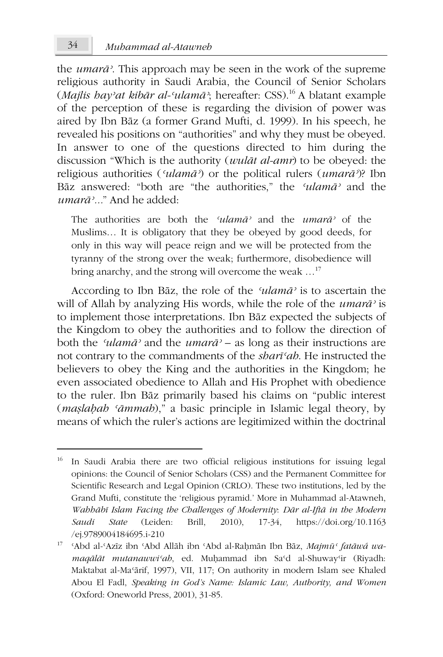the *umarā*<sup>2</sup>. This approach may be seen in the work of the supreme religious authority in Saudi Arabia, the Council of Senior Scholars (Majlis hay'at kibār al-'ulamā'; hereafter: CSS).<sup>16</sup> A blatant example of the perception of these is regarding the division of power was aired by Ibn Bāz (a former Grand Mufti, d. 1999). In his speech, he revealed his positions on "authorities" and why they must be obeyed. In answer to one of the questions directed to him during the discussion "Which is the authority (*wulāt al-amr*) to be obeved: the religious authorities (' $ulam\bar{a}$ ') or the political rulers ( $umar\bar{a}$ ')? Ibn Bāz answered: "both are "the authorities," the 'ulamā' and the  $\mu$ marā<sup> $\lambda$ </sup> " And he added $\cdot$ 

The authorities are both the 'ulamā' and the umarā' of the Muslims... It is obligatory that they be obeyed by good deeds, for only in this way will peace reign and we will be protected from the tyranny of the strong over the weak; furthermore, disobedience will bring anarchy, and the strong will overcome the weak ...<sup>17</sup>

According to Ibn Baz, the role of the 'ulama' is to ascertain the will of Allah by analyzing His words, while the role of the *umara* is to implement those interpretations. Ibn Bāz expected the subjects of the Kingdom to obey the authorities and to follow the direction of both the 'ulamā' and the umarā' - as long as their instructions are not contrary to the commandments of the *shart<sup>cah*</sup>. He instructed the believers to obey the King and the authorities in the Kingdom; he even associated obedience to Allah and His Prophet with obedience to the ruler. Ibn Baz primarily based his claims on "public interest" *(maslabab 'āmmab)*," a basic principle in Islamic legal theory, by means of which the ruler's actions are legitimized within the doctrinal

 $34$ 

<sup>16</sup> In Saudi Arabia there are two official religious institutions for issuing legal opinions: the Council of Senior Scholars (CSS) and the Permanent Committee for Scientific Research and Legal Opinion (CRLO). These two institutions, led by the Grand Mufti, constitute the 'religious pyramid.' More in Muhammad al-Atawneh, Wabbābī Islam Facing the Challenges of Modernity. Dār al-Iftā in the Modern Brill,  $2010$ ,  $17-34$ , Saudi **State** (Leiden: https://doi.org/10.1163 /ej.9789004184695.i-210

<sup>&</sup>lt;sup>17</sup> 'Abd al-'Azīz ibn 'Abd Allāh ibn 'Abd al-Raḥmān Ibn Bāz, Majmū' fatāwá wamaqālāt mutanawwi'ah, ed. Muḥammad ibn Sa'd al-Shuway'ir (Riyadh: Maktabat al-Ma'ārif, 1997), VII, 117; On authority in modern Islam see Khaled Abou El Fadl, Speaking in God's Name: Islamic Law, Authority, and Women (Oxford: Oneworld Press, 2001), 31-85.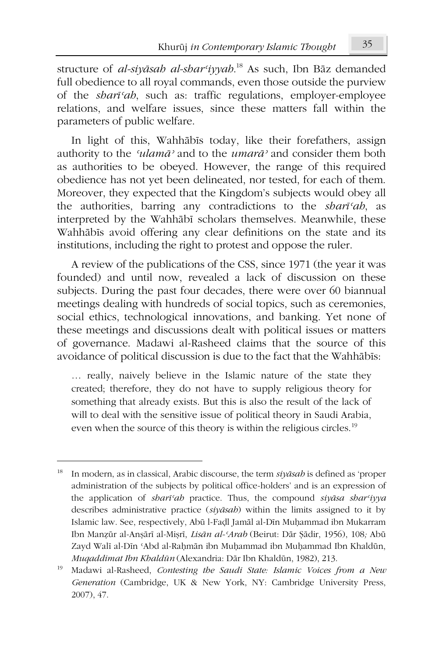structure of al-siyāsah al-shar<sup>c</sup>iyyah.<sup>18</sup> As such, Ibn Bāz demanded full obedience to all royal commands, even those outside the purview of the *shart<sup>c</sup>ab*, such as: traffic regulations, employer-employee relations, and welfare issues, since these matters fall within the parameters of public welfare.

In light of this, Wahhabis today, like their forefathers, assign authority to the 'ulama' and to the umara' and consider them both as authorities to be obeyed. However, the range of this required obedience has not yet been delineated, nor tested, for each of them. Moreover, they expected that the Kingdom's subjects would obey all the authorities, barring any contradictions to the *shart<sup>cah*</sup>, as interpreted by the Wahhābī scholars themselves. Meanwhile, these Wahhābīs avoid offering any clear definitions on the state and its institutions, including the right to protest and oppose the ruler.

A review of the publications of the CSS, since 1971 (the year it was founded) and until now, revealed a lack of discussion on these subjects. During the past four decades, there were over 60 biannual meetings dealing with hundreds of social topics, such as ceremonies, social ethics, technological innovations, and banking. Yet none of these meetings and discussions dealt with political issues or matters of governance. Madawi al-Rasheed claims that the source of this avoidance of political discussion is due to the fact that the Wahhābīs:

... really, naively believe in the Islamic nature of the state they created; therefore, they do not have to supply religious theory for something that already exists. But this is also the result of the lack of will to deal with the sensitive issue of political theory in Saudi Arabia, even when the source of this theory is within the religious circles.<sup>19</sup>

<sup>18</sup> In modern, as in classical, Arabic discourse, the term  $si\psi$  is defined as 'proper administration of the subjects by political office-holders' and is an expression of the application of shari'ah practice. Thus, the compound siyasa shar'iyya describes administrative practice (siyāsah) within the limits assigned to it by Islamic law. See, respectively, Abū l-Fadl Jamāl al-Dīn Muhammad ibn Mukarram Ibn Manzūr al-Anșārī al-Mișrī, Lisān al-'Arab (Beirut: Dār Șādir, 1956), 108; Abū Zayd Walī al-Dīn 'Abd al-Raḥmān ibn Muḥammad ibn Muḥammad Ibn Khaldūn, Muqaddimat Ibn Khaldūn (Alexandria: Dār Ibn Khaldūn, 1982), 213.

<sup>19</sup> Madawi al-Rasheed, Contesting the Saudi State: Islamic Voices from a New Generation (Cambridge, UK & New York, NY: Cambridge University Press, 2007), 47.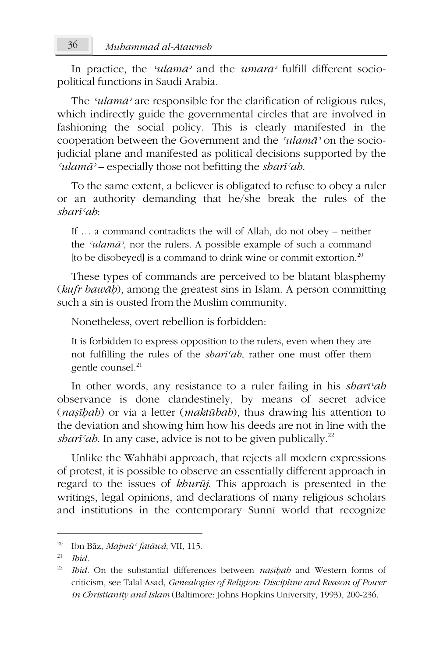In practice, the 'ulama' and the umara' fulfill different sociopolitical functions in Saudi Arabia.

The 'ulamā' are responsible for the clarification of religious rules, which indirectly guide the governmental circles that are involved in fashioning the social policy. This is clearly manifested in the cooperation between the Government and the 'ulamā' on the sociojudicial plane and manifested as political decisions supported by the 'ulam $\bar{a}$ ' – especially those not befitting the shart'ah.

To the same extent, a believer is obligated to refuse to obey a ruler or an authority demanding that he/she break the rules of the shari'ah

If  $\ldots$  a command contradicts the will of Allah, do not obey – neither the 'ulamā', nor the rulers. A possible example of such a command [to be disobeyed] is a command to drink wine or commit extortion.<sup>20</sup>

These types of commands are perceived to be blatant blasphemy (kufr bawāb), among the greatest sins in Islam. A person committing such a sin is ousted from the Muslim community.

Nonetheless, overt rebellion is forbidden:

It is forbidden to express opposition to the rulers, even when they are not fulfilling the rules of the *shart<sup>c</sup>ab*, rather one must offer them gentle counsel.<sup>21</sup>

In other words, any resistance to a ruler failing in his shart'ah observance is done clandestinely, by means of secret advice (*nasibab*) or via a letter (*maktubab*), thus drawing his attention to the deviation and showing him how his deeds are not in line with the *sbarī'ab*. In any case, advice is not to be given publically.<sup>22</sup>

Unlike the Wahhābī approach, that rejects all modern expressions of protest, it is possible to observe an essentially different approach in regard to the issues of khurūj. This approach is presented in the writings, legal opinions, and declarations of many religious scholars and institutions in the contemporary Sunnī world that recognize

 $20\,$ Ibn Bāz, Majmū ' fatāwá, VII, 115.

<sup>21</sup> Ibid.

<sup>22</sup> Ibid. On the substantial differences between nașibab and Western forms of criticism, see Talal Asad, Genealogies of Religion: Discipline and Reason of Power in Christianity and Islam (Baltimore: Johns Hopkins University, 1993), 200-236.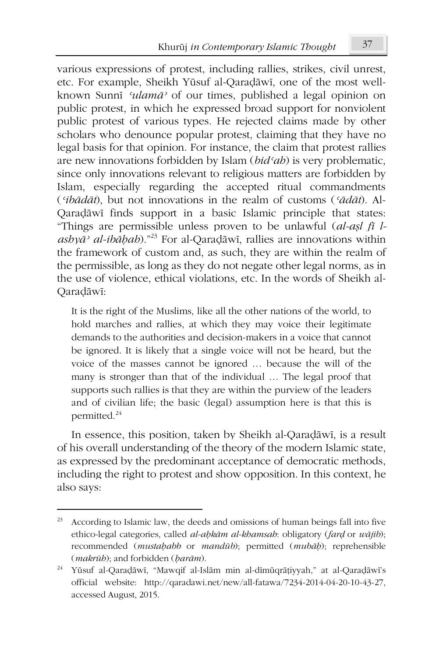various expressions of protest, including rallies, strikes, civil unrest, etc. For example, Sheikh Yūsuf al-Qaradāwī, one of the most wellknown Sunni 'ulamā' of our times, published a legal opinion on public protest, in which he expressed broad support for nonviolent public protest of various types. He rejected claims made by other scholars who denounce popular protest, claiming that they have no legal basis for that opinion. For instance, the claim that protest rallies are new innovations forbidden by Islam (bid'ab) is very problematic, since only innovations relevant to religious matters are forbidden by Islam, especially regarding the accepted ritual commandments ('ibādāt), but not innovations in the realm of customs ('ādāt). Al-Qaradāwī finds support in a basic Islamic principle that states: "Things are permissible unless proven to be unlawful (*al-asl fi l* $asby\bar{a}$ <sup>2</sup> al-ibabab)."<sup>23</sup> For al-Qaradāwī, rallies are innovations within the framework of custom and, as such, they are within the realm of the permissible, as long as they do not negate other legal norms, as in the use of violence, ethical violations, etc. In the words of Sheikh al-Qaradāwī:

It is the right of the Muslims, like all the other nations of the world, to hold marches and rallies, at which they may voice their legitimate demands to the authorities and decision-makers in a voice that cannot be ignored. It is likely that a single voice will not be heard, but the voice of the masses cannot be ignored ... because the will of the many is stronger than that of the individual ... The legal proof that supports such rallies is that they are within the purview of the leaders and of civilian life; the basic (legal) assumption here is that this is permitted.<sup>24</sup>

In essence, this position, taken by Sheikh al-Qaradāwī, is a result of his overall understanding of the theory of the modern Islamic state. as expressed by the predominant acceptance of democratic methods, including the right to protest and show opposition. In this context, he also says:

<sup>23</sup> According to Islamic law, the deeds and omissions of human beings fall into five ethico-legal categories, called al-abkām al-khamsah: obligatory (fard or wājib); recommended (mustababb or mandūb); permitted (mubāb); reprehensible (*makrūb*); and forbidden (*barām*).

<sup>&</sup>lt;sup>24</sup> Yūsuf al-Qaradāwī, "Mawqif al-Islām min al-dīmūqrāțiyyah," at al-Qaradāwī's official website: http://qaradawi.net/new/all-fatawa/7234-2014-04-20-10-43-27, accessed August, 2015.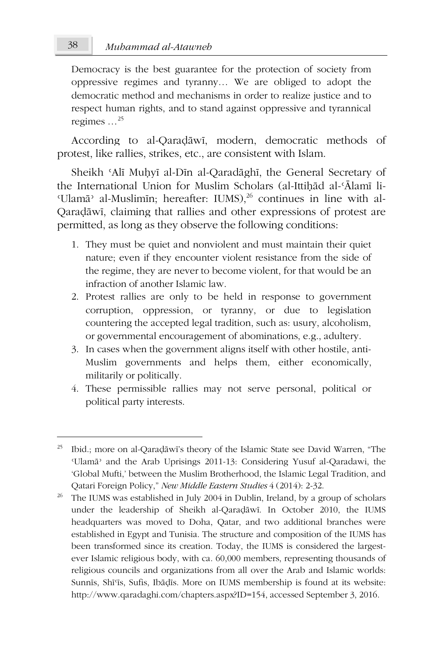Democracy is the best guarantee for the protection of society from oppressive regimes and tyranny... We are obliged to adopt the democratic method and mechanisms in order to realize justice and to respect human rights, and to stand against oppressive and tyrannical regimes  $\ldots^{25}$ 

According to al-Qaradāwī, modern, democratic methods of protest, like rallies, strikes, etc., are consistent with Islam.

Sheikh 'Alī Muhyī al-Dīn al-Qaradāghī, the General Secretary of the International Union for Muslim Scholars (al-Ittihad al-'Alami li-'Ulamā' al-Muslimīn; hereafter: IUMS),<sup>26</sup> continues in line with al-Qaradāwī, claiming that rallies and other expressions of protest are permitted, as long as they observe the following conditions:

- 1. They must be quiet and nonviolent and must maintain their quiet nature; even if they encounter violent resistance from the side of the regime, they are never to become violent, for that would be an infraction of another Islamic law.
- 2. Protest rallies are only to be held in response to government corruption, oppression, or tyranny, or due to legislation countering the accepted legal tradition, such as: usury, alcoholism, or governmental encouragement of abominations, e.g., adultery.
- 3. In cases when the government aligns itself with other hostile, anti-Muslim governments and helps them, either economically, militarily or politically.
- 4. These permissible rallies may not serve personal, political or political party interests.

<sup>25</sup> Ibid.; more on al-Qaradāwī's theory of the Islamic State see David Warren, "The 'Ulamā' and the Arab Uprisings 2011-13: Considering Yusuf al-Qaradawi, the 'Global Mufti,' between the Muslim Brotherhood, the Islamic Legal Tradition, and Qatari Foreign Policy," New Middle Eastern Studies 4 (2014): 2-32.

 $26\,$ The IUMS was established in July 2004 in Dublin, Ireland, by a group of scholars under the leadership of Sheikh al-Qaradāwī. In October 2010, the IUMS headquarters was moved to Doha, Qatar, and two additional branches were established in Egypt and Tunisia. The structure and composition of the IUMS has been transformed since its creation. Today, the IUMS is considered the largestever Islamic religious body, with ca. 60,000 members, representing thousands of religious councils and organizations from all over the Arab and Islamic worlds: Sunnīs, Shī'īs, Sufis, Ibādīs. More on IUMS membership is found at its website: http://www.qaradaghi.com/chapters.aspx?ID=154, accessed September 3, 2016.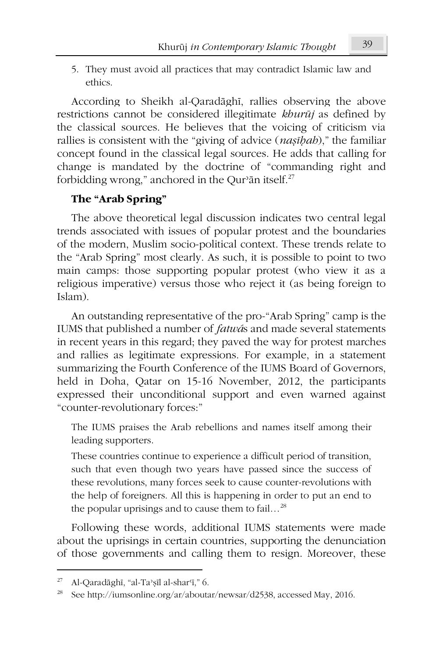5. They must avoid all practices that may contradict Islamic law and ethics.

According to Sheikh al-Oaradāghī, rallies observing the above restrictions cannot be considered illegitimate khurūj as defined by the classical sources. He believes that the voicing of criticism via rallies is consistent with the "giving of advice (*nasibab*)," the familiar concept found in the classical legal sources. He adds that calling for change is mandated by the doctrine of "commanding right and forbidding wrong," anchored in the Qur'ān itself.<sup>27</sup>

# The "Arab Spring"

The above theoretical legal discussion indicates two central legal trends associated with issues of popular protest and the boundaries of the modern, Muslim socio-political context. These trends relate to the "Arab Spring" most clearly. As such, it is possible to point to two main camps: those supporting popular protest (who view it as a religious imperative) versus those who reject it (as being foreign to Islam)

An outstanding representative of the pro-"Arab Spring" camp is the IUMS that published a number of *fatwás* and made several statements in recent years in this regard; they paved the way for protest marches and rallies as legitimate expressions. For example, in a statement summarizing the Fourth Conference of the IUMS Board of Governors, held in Doha, Qatar on 15-16 November, 2012, the participants expressed their unconditional support and even warned against "counter-revolutionary forces:"

The IUMS praises the Arab rebellions and names itself among their leading supporters.

These countries continue to experience a difficult period of transition, such that even though two years have passed since the success of these revolutions, many forces seek to cause counter-revolutions with the help of foreigners. All this is happening in order to put an end to the popular uprisings and to cause them to fail...<sup>28</sup>

Following these words, additional IUMS statements were made about the uprisings in certain countries, supporting the denunciation of those governments and calling them to resign. Moreover, these

<sup>27</sup> Al-Qaradāghī, "al-Ta'șīl al-shar'ī," 6.

 $\sqrt{28}$ See http://iumsonline.org/ar/aboutar/newsar/d2538, accessed May, 2016.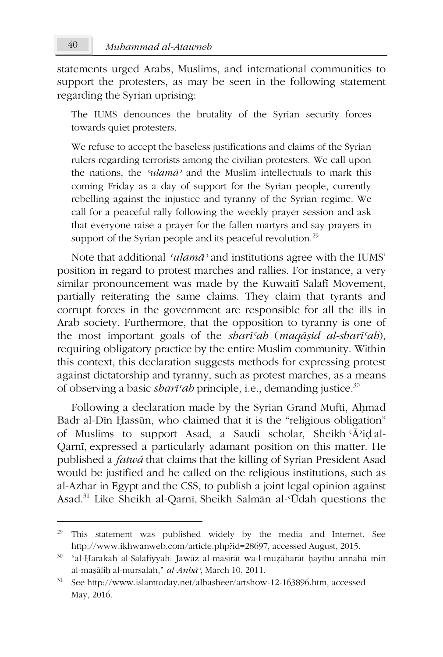statements urged Arabs, Muslims, and international communities to support the protesters, as may be seen in the following statement regarding the Syrian uprising:

The IUMS denounces the brutality of the Syrian security forces towards quiet protesters.

We refuse to accept the baseless justifications and claims of the Syrian rulers regarding terrorists among the civilian protesters. We call upon the nations, the 'ulamā' and the Muslim intellectuals to mark this coming Friday as a day of support for the Syrian people, currently rebelling against the injustice and tyranny of the Syrian regime. We call for a peaceful rally following the weekly prayer session and ask that everyone raise a prayer for the fallen martyrs and say prayers in support of the Syrian people and its peaceful revolution.<sup>29</sup>

Note that additional 'ulamā' and institutions agree with the IUMS' position in regard to protest marches and rallies. For instance, a very similar pronouncement was made by the Kuwaitī Salafī Movement, partially reiterating the same claims. They claim that tyrants and corrupt forces in the government are responsible for all the ills in Arab society. Furthermore, that the opposition to tyranny is one of the most important goals of the shari'ah (maqāṣid al-shari'ah), requiring obligatory practice by the entire Muslim community. Within this context, this declaration suggests methods for expressing protest against dictatorship and tyranny, such as protest marches, as a means of observing a basic *shart*'ab principle, i.e., demanding justice.<sup>30</sup>

Following a declaration made by the Syrian Grand Mufti, Ahmad Badr al-Din Hassūn, who claimed that it is the "religious obligation" of Muslims to support Asad, a Saudi scholar, Sheikh 'Ā'id al-Qarnī, expressed a particularly adamant position on this matter. He published a *fatwá* that claims that the killing of Syrian President Asad would be justified and he called on the religious institutions, such as al-Azhar in Egypt and the CSS, to publish a joint legal opinion against Asad.<sup>31</sup> Like Sheikh al-Qarnī, Sheikh Salmān al-'Ūdah questions the

<sup>&</sup>lt;sup>29</sup> This statement was published widely by the media and Internet. See http://www.ikhwanweb.com/article.php?id=28697, accessed August, 2015.

<sup>30 &</sup>quot;al-Ḥarakah al-Salafiyyah: Jawāz al-masīrāt wa-l-muẓāharāt ḥaythu annahā min al-mașāliḥ al-mursalah," al-Anbā<sup>2</sup>, March 10, 2011.

<sup>&</sup>lt;sup>31</sup> See http://www.islamtoday.net/albasheer/artshow-12-163896.htm, accessed May, 2016.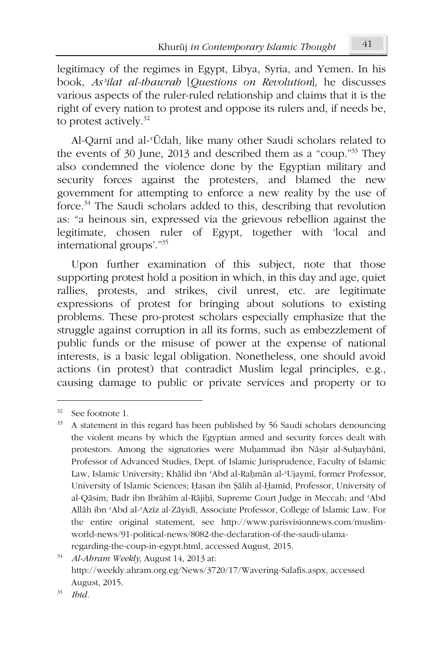legitimacy of the regimes in Egypt, Libya, Syria, and Yemen. In his book, As'ilat al-thawrah [Questions on Revolution], he discusses various aspects of the ruler-ruled relationship and claims that it is the right of every nation to protest and oppose its rulers and, if needs be, to protest actively. $32$ 

Al-Qarnī and al-'Ūdah, like many other Saudi scholars related to the events of 30 June, 2013 and described them as a "coup."<sup>33</sup> They also condemned the violence done by the Egyptian military and security forces against the protesters, and blamed the new government for attempting to enforce a new reality by the use of force.<sup>34</sup> The Saudi scholars added to this, describing that revolution as: "a heinous sin, expressed via the grievous rebellion against the legitimate, chosen ruler of Egypt, together with 'local and international groups'."35

Upon further examination of this subject, note that those supporting protest hold a position in which, in this day and age, quiet rallies, protests, and strikes, civil unrest, etc. are legitimate expressions of protest for bringing about solutions to existing problems. These pro-protest scholars especially emphasize that the struggle against corruption in all its forms, such as embezzlement of public funds or the misuse of power at the expense of national interests, is a basic legal obligation. Nonetheless, one should avoid actions (in protest) that contradict Muslim legal principles, e.g., causing damage to public or private services and property or to

<sup>32</sup> See footnote 1.

<sup>33</sup> A statement in this regard has been published by 56 Saudi scholars denouncing the violent means by which the Egyptian armed and security forces dealt with protestors. Among the signatories were Muhammad ibn Nāșir al-Suhaybānī, Professor of Advanced Studies, Dept. of Islamic Jurisprudence, Faculty of Islamic Law, Islamic University; Khālid ibn 'Abd al-Rahmān al-'Ujaymī, former Professor, University of Islamic Sciences; Hasan ibn Şālih al-Hamīd, Professor, University of al-Qāsim; Badr ibn Ibrāhīm al-Rājiḥī, Supreme Court Judge in Meccah; and 'Abd Allāh ibn 'Abd al-'Azīz al-Zāyidī, Associate Professor, College of Islamic Law. For the entire original statement, see http://www.parisvisionnews.com/muslimworld-news/91-political-news/8082-the-declaration-of-the-saudi-ulamaregarding-the-coup-in-egypt.html, accessed August, 2015.

 $34<sup>°</sup>$ Al-Ahram Weekly, August 14, 2013 at: http://weekly.ahram.org.eg/News/3720/17/Wavering-Salafis.aspx, accessed August, 2015.

<sup>35</sup> **Ihid**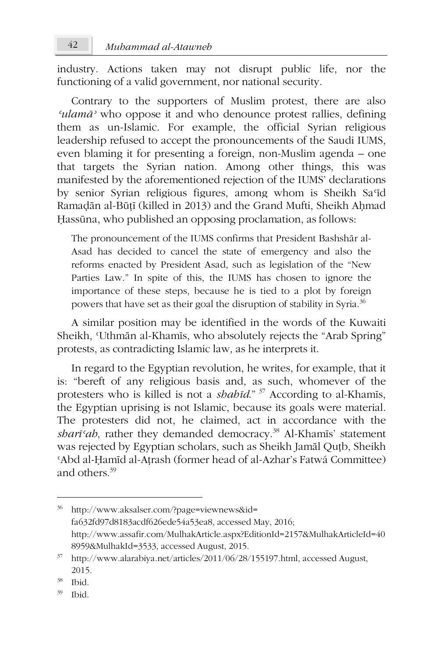industry. Actions taken may not disrupt public life, nor the functioning of a valid government, nor national security.

Contrary to the supporters of Muslim protest, there are also 'ulamā' who oppose it and who denounce protest rallies, defining them as un-Islamic. For example, the official Syrian religious leadership refused to accept the pronouncements of the Saudi IUMS, even blaming it for presenting a foreign, non-Muslim agenda – one that targets the Syrian nation. Among other things, this was manifested by the aforementioned rejection of the IUMS' declarations by senior Syrian religious figures, among whom is Sheikh Sa'id Ramadān al-Būțī (killed in 2013) and the Grand Mufti, Sheikh Ahmad Hassūna, who published an opposing proclamation, as follows:

The pronouncement of the IUMS confirms that President Bashshār al-Asad has decided to cancel the state of emergency and also the reforms enacted by President Asad, such as legislation of the "New Parties Law." In spite of this, the IUMS has chosen to ignore the importance of these steps, because he is tied to a plot by foreign powers that have set as their goal the disruption of stability in Syria.<sup>36</sup>

A similar position may be identified in the words of the Kuwaiti Sheikh, 'Uthmān al-Khamīs, who absolutely rejects the "Arab Spring" protests, as contradicting Islamic law, as he interprets it.

In regard to the Egyptian revolution, he writes, for example, that it is: "bereft of any religious basis and, as such, whomever of the protesters who is killed is not a *shahid*."<sup>37</sup> According to al-Khamis, the Egyptian uprising is not Islamic, because its goals were material. The protesters did not, he claimed, act in accordance with the sharī'ah, rather they demanded democracy.<sup>38</sup> Al-Khamīs' statement was rejected by Egyptian scholars, such as Sheikh Jamāl Qutb, Sheikh 'Abd al-Hamīd al-Atrash (former head of al-Azhar's Fatwá Committee) and others. $39$ 

http://www.aksalser.com/?page=viewnews&id= fa632fd97d8183acdf626ede54a53ea8, accessed May, 2016; http://www.assafir.com/MulhakArticle.aspx?EditionId=2157&MulhakArticleId=40 8959&MulhakId=3533, accessed August, 2015.

<sup>&</sup>lt;sup>37</sup> http://www.alarabiya.net/articles/2011/06/28/155197.html, accessed August, 2015.

<sup>38</sup> Ibid.

<sup>39</sup> **Ibid**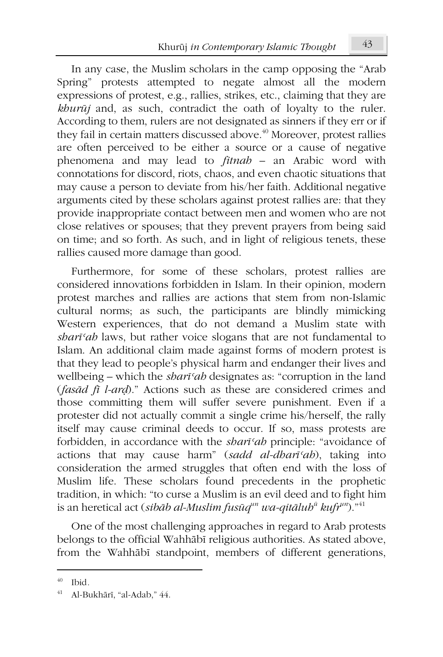In any case, the Muslim scholars in the camp opposing the "Arab" Spring" protests attempted to negate almost all the modern expressions of protest, e.g., rallies, strikes, etc., claiming that they are khurūj and, as such, contradict the oath of loyalty to the ruler. According to them, rulers are not designated as sinners if they err or if they fail in certain matters discussed above.<sup>40</sup> Moreover, protest rallies are often perceived to be either a source or a cause of negative phenomena and may lead to *fitnah* – an Arabic word with connotations for discord, riots, chaos, and even chaotic situations that may cause a person to deviate from his/her faith. Additional negative arguments cited by these scholars against protest rallies are: that they provide inappropriate contact between men and women who are not close relatives or spouses; that they prevent prayers from being said on time; and so forth. As such, and in light of religious tenets, these rallies caused more damage than good.

Furthermore, for some of these scholars, protest rallies are considered innovations forbidden in Islam. In their opinion, modern protest marches and rallies are actions that stem from non-Islamic cultural norms; as such, the participants are blindly mimicking Western experiences, that do not demand a Muslim state with *sbart'ab* laws, but rather voice slogans that are not fundamental to Islam. An additional claim made against forms of modern protest is that they lead to people's physical harm and endanger their lives and wellbeing – which the *shart*'ah designates as: "corruption in the land (fasād fī l-ard)." Actions such as these are considered crimes and those committing them will suffer severe punishment. Even if a protester did not actually commit a single crime his/herself, the rally itself may cause criminal deeds to occur. If so, mass protests are forbidden, in accordance with the shari'ah principle: "avoidance of actions that may cause harm" (sadd al-dhari'ah), taking into consideration the armed struggles that often end with the loss of Muslim life. These scholars found precedents in the prophetic tradition, in which: "to curse a Muslim is an evil deed and to fight him is an heretical act (sibab al-Muslim fusuq<sup>un</sup> wa-qitalub<sup>a</sup> kufi<sup>um</sup>).<sup>"41</sup>

One of the most challenging approaches in regard to Arab protests belongs to the official Wahhābī religious authorities. As stated above, from the Wahhābī standpoint, members of different generations,

 $40$  Ibid.

<sup>41</sup> Al-Bukhārī, "al-Adab," 44.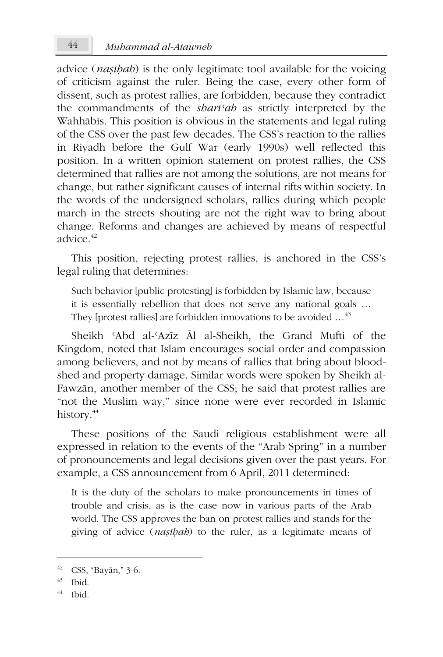advice (*nasibab*) is the only legitimate tool available for the voicing of criticism against the ruler. Being the case, every other form of dissent, such as protest rallies, are forbidden, because they contradict the commandments of the *shart'ab* as strictly interpreted by the Wahhābīs. This position is obvious in the statements and legal ruling of the CSS over the past few decades. The CSS's reaction to the rallies in Riyadh before the Gulf War (early 1990s) well reflected this position. In a written opinion statement on protest rallies, the CSS determined that rallies are not among the solutions, are not means for change, but rather significant causes of internal rifts within society. In the words of the undersigned scholars, rallies during which people march in the streets shouting are not the right way to bring about change. Reforms and changes are achieved by means of respectful advice  $42$ 

This position, rejecting protest rallies, is anchored in the CSS's legal ruling that determines:

Such behavior [public protesting] is forbidden by Islamic law, because it is essentially rebellion that does not serve any national goals ... They [protest rallies] are forbidden innovations to be avoided  $\ldots$ <sup>43</sup>

Sheikh 'Abd al-'Azīz Āl al-Sheikh, the Grand Mufti of the Kingdom, noted that Islam encourages social order and compassion among believers, and not by means of rallies that bring about bloodshed and property damage. Similar words were spoken by Sheikh al-Fawzān, another member of the CSS; he said that protest rallies are "not the Muslim way," since none were ever recorded in Islamic history. $44$ 

These positions of the Saudi religious establishment were all expressed in relation to the events of the "Arab Spring" in a number of pronouncements and legal decisions given over the past years. For example, a CSS announcement from 6 April, 2011 determined:

It is the duty of the scholars to make pronouncements in times of trouble and crisis, as is the case now in various parts of the Arab world. The CSS approves the ban on protest rallies and stands for the giving of advice (*nasibab*) to the ruler, as a legitimate means of

 $42$  CSS, "Bayān," 3-6.

<sup>43</sup> Ibid.

<sup>44</sup> **Ibid**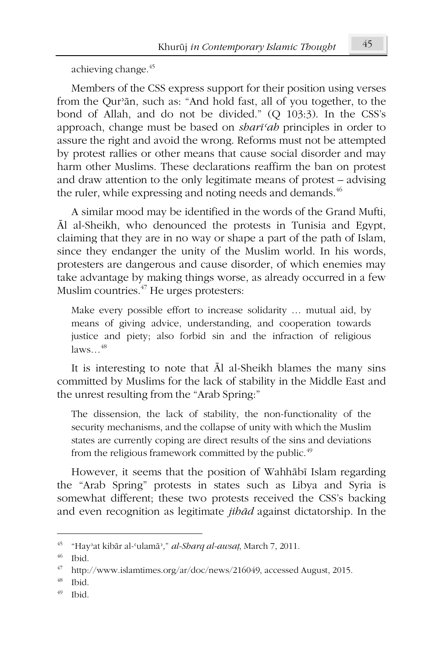achieving change.<sup>45</sup>

Members of the CSS express support for their position using verses from the Qur'an, such as: "And hold fast, all of you together, to the bond of Allah, and do not be divided." (Q 103:3). In the CSS's approach, change must be based on *shart'ab* principles in order to assure the right and avoid the wrong. Reforms must not be attempted by protest rallies or other means that cause social disorder and may harm other Muslims. These declarations reaffirm the ban on protest and draw attention to the only legitimate means of protest – advising the ruler, while expressing and noting needs and demands.<sup>46</sup>

A similar mood may be identified in the words of the Grand Mufti, Al al-Sheikh, who denounced the protests in Tunisia and Egypt, claiming that they are in no way or shape a part of the path of Islam, since they endanger the unity of the Muslim world. In his words, protesters are dangerous and cause disorder, of which enemies may take advantage by making things worse, as already occurred in a few Muslim countries.<sup>47</sup> He urges protesters:

Make every possible effort to increase solidarity ... mutual aid, by means of giving advice, understanding, and cooperation towards justice and piety; also forbid sin and the infraction of religious  $laws$ <sup>48</sup>

It is interesting to note that Al al-Sheikh blames the many sins committed by Muslims for the lack of stability in the Middle East and the unrest resulting from the "Arab Spring:"

The dissension, the lack of stability, the non-functionality of the security mechanisms, and the collapse of unity with which the Muslim states are currently coping are direct results of the sins and deviations from the religious framework committed by the public.<sup>49</sup>

However, it seems that the position of Wahhābī Islam regarding the "Arab Spring" protests in states such as Libya and Syria is somewhat different; these two protests received the CSS's backing and even recognition as legitimate *jibad* against dictatorship. In the

49 **Ibid** 

<sup>45</sup> "Hay'at kibār al-'ulamā'," al-Sharq al-awsaț, March 7, 2011.

<sup>46</sup> Ibid.

<sup>47</sup> http://www.islamtimes.org/ar/doc/news/216049, accessed August, 2015.

<sup>48</sup> Ibid.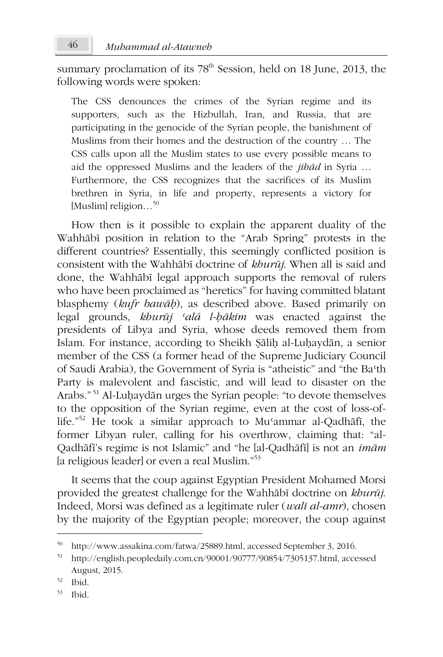summary proclamation of its 78<sup>th</sup> Session, held on 18 June, 2013, the following words were spoken:

The CSS denounces the crimes of the Syrian regime and its supporters, such as the Hizbullah, Iran, and Russia, that are participating in the genocide of the Syrian people, the banishment of Muslims from their homes and the destruction of the country ... The CSS calls upon all the Muslim states to use every possible means to aid the oppressed Muslims and the leaders of the *jibad* in Syria ... Furthermore, the CSS recognizes that the sacrifices of its Muslim brethren in Syria, in life and property, represents a victory for [Muslim] religion...<sup>50</sup>

How then is it possible to explain the apparent duality of the Wahhābī position in relation to the "Arab Spring" protests in the different countries? Essentially, this seemingly conflicted position is consistent with the Wahhabi doctrine of khurūj. When all is said and done, the Wahhābī legal approach supports the removal of rulers who have been proclaimed as "heretics" for having committed blatant blasphemy (kufr bawāh), as described above. Based primarily on legal grounds, kburūj 'alá l-bākim was enacted against the presidents of Libya and Syria, whose deeds removed them from Islam. For instance, according to Sheikh Salih al-Luhaydan, a senior member of the CSS (a former head of the Supreme Judiciary Council of Saudi Arabia), the Government of Syria is "atheistic" and "the Ba'th Party is malevolent and fascistic, and will lead to disaster on the Arabs."<sup>51</sup> Al-Luhaydān urges the Syrian people: "to devote themselves to the opposition of the Syrian regime, even at the cost of loss-oflife."<sup>52</sup> He took a similar approach to Mu<sup>c</sup>ammar al-Qadhāfī, the former Libyan ruler, calling for his overthrow, claiming that: "al-Oadhāfi's regime is not Islamic" and "he [al-Qadhāfi] is not an imām [a religious leader] or even a real Muslim."<sup>53</sup>

It seems that the coup against Egyptian President Mohamed Morsi provided the greatest challenge for the Wahhābī doctrine on khurūj. Indeed, Morsi was defined as a legitimate ruler (*walī al-amr*), chosen by the majority of the Egyptian people; moreover, the coup against

53 **Ibid** 

<sup>50</sup> http://www.assakina.com/fatwa/25889.html, accessed September 3, 2016.

<sup>51</sup> http://english.peopledaily.com.cn/90001/90777/90854/7305137.html, accessed August, 2015.

<sup>52</sup> Ibid.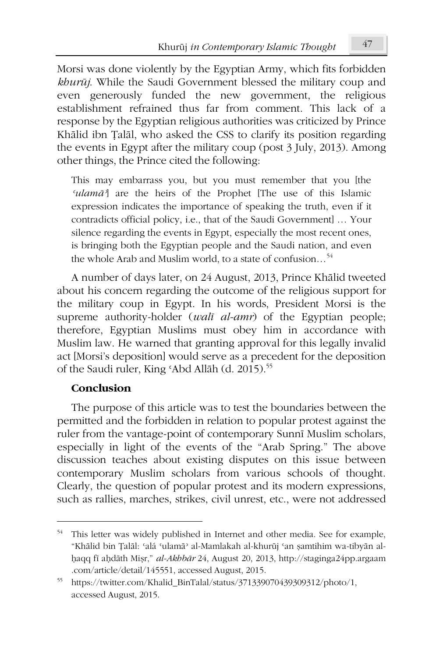Morsi was done violently by the Egyptian Army, which fits forbidden khurūj. While the Saudi Government blessed the military coup and even generously funded the new government, the religious establishment refrained thus far from comment. This lack of a response by the Egyptian religious authorities was criticized by Prince Khālid ibn Talāl, who asked the CSS to clarify its position regarding the events in Egypt after the military coup (post 3 July, 2013). Among other things, the Prince cited the following:

This may embarrass you, but you must remember that you [the 'ulamā'] are the heirs of the Prophet [The use of this Islamic expression indicates the importance of speaking the truth, even if it contradicts official policy, i.e., that of the Saudi Government] ... Your silence regarding the events in Egypt, especially the most recent ones, is bringing both the Egyptian people and the Saudi nation, and even the whole Arab and Muslim world, to a state of confusion...<sup>54</sup>

A number of days later, on 24 August, 2013, Prince Khālid tweeted about his concern regarding the outcome of the religious support for the military coup in Egypt. In his words, President Morsi is the supreme authority-holder (*wali al-amr*) of the Egyptian people; therefore, Egyptian Muslims must obey him in accordance with Muslim law. He warned that granting approval for this legally invalid act [Morsi's deposition] would serve as a precedent for the deposition of the Saudi ruler, King 'Abd Allāh (d. 2015).<sup>55</sup>

#### Conclusion

The purpose of this article was to test the boundaries between the permitted and the forbidden in relation to popular protest against the ruler from the vantage-point of contemporary Sunni Muslim scholars, especially in light of the events of the "Arab Spring." The above discussion teaches about existing disputes on this issue between contemporary Muslim scholars from various schools of thought. Clearly, the question of popular protest and its modern expressions, such as rallies, marches, strikes, civil unrest, etc., were not addressed

<sup>&</sup>lt;sup>54</sup> This letter was widely published in Internet and other media. See for example, "Khālid bin Țalāl: 'alá 'ulamā' al-Mamlakah al-khurūj 'an șamtihim wa-tibyān alhaqq fī aḥdāth Mişr," al-Akhbār 24, August 20, 2013, http://staginga24pp.argaam .com/article/detail/145551, accessed August, 2015.

<sup>&</sup>lt;sup>55</sup> https://twitter.com/Khalid\_BinTalal/status/371339070439309312/photo/1, accessed August, 2015.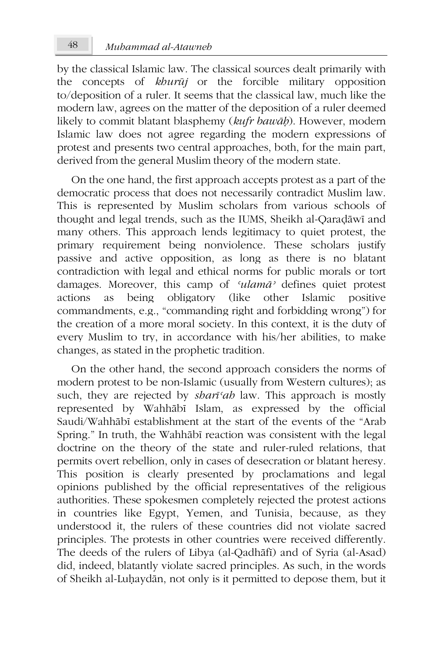by the classical Islamic law. The classical sources dealt primarily with the concepts of kburūj or the forcible military opposition to/deposition of a ruler. It seems that the classical law, much like the modern law, agrees on the matter of the deposition of a ruler deemed likely to commit blatant blasphemy (kufr bawāh). However, modern Islamic law does not agree regarding the modern expressions of protest and presents two central approaches, both, for the main part, derived from the general Muslim theory of the modern state.

On the one hand, the first approach accepts protest as a part of the democratic process that does not necessarily contradict Muslim law. This is represented by Muslim scholars from various schools of thought and legal trends, such as the IUMS, Sheikh al-Qaradāwī and many others. This approach lends legitimacy to quiet protest, the primary requirement being nonviolence. These scholars justify passive and active opposition, as long as there is no blatant contradiction with legal and ethical norms for public morals or tort damages. Moreover, this camp of 'ulamā' defines quiet protest being obligatory (like other Islamic actions  $\overline{a}$ positive commandments, e.g., "commanding right and forbidding wrong") for the creation of a more moral society. In this context, it is the duty of every Muslim to try, in accordance with his/her abilities, to make changes, as stated in the prophetic tradition.

On the other hand, the second approach considers the norms of modern protest to be non-Islamic (usually from Western cultures); as such, they are rejected by shari'ah law. This approach is mostly represented by Wahhābī Islam, as expressed by the official Saudi/Wahhābī establishment at the start of the events of the "Arab" Spring." In truth, the Wahhābī reaction was consistent with the legal doctrine on the theory of the state and ruler-ruled relations, that permits overt rebellion, only in cases of desecration or blatant heresy. This position is clearly presented by proclamations and legal opinions published by the official representatives of the religious authorities. These spokesmen completely rejected the protest actions in countries like Egypt, Yemen, and Tunisia, because, as they understood it, the rulers of these countries did not violate sacred principles. The protests in other countries were received differently. The deeds of the rulers of Libya (al-Qadhāfī) and of Syria (al-Asad) did, indeed, blatantly violate sacred principles. As such, in the words of Sheikh al-Luḥaydān, not only is it permitted to depose them, but it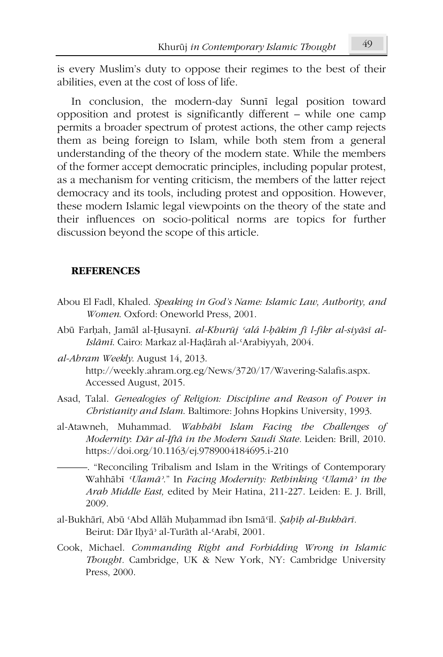is every Muslim's duty to oppose their regimes to the best of their abilities, even at the cost of loss of life.

In conclusion, the modern-day Sunni legal position toward opposition and protest is significantly different – while one camp permits a broader spectrum of protest actions, the other camp rejects them as being foreign to Islam, while both stem from a general understanding of the theory of the modern state. While the members of the former accept democratic principles, including popular protest, as a mechanism for venting criticism, the members of the latter reject democracy and its tools, including protest and opposition. However, these modern Islamic legal viewpoints on the theory of the state and their influences on socio-political norms are topics for further discussion beyond the scope of this article.

#### **REFERENCES**

- Abou El Fadl, Khaled. Speaking in God's Name: Islamic Law, Authority, and Women. Oxford: Oneworld Press, 2001.
- Abū Farhah, Jamāl al-Ḥusaynī. al-Khurūj 'alá l-hākim fī l-fikr al-siyāsī al-Islāmī. Cairo: Markaz al-Hadārah al-'Arabiyyah, 2004.
- al-Abram Weekly. August 14, 2013. http://weekly.ahram.org.eg/News/3720/17/Wavering-Salafis.aspx. Accessed August, 2015.
- Asad, Talal. Genealogies of Religion: Discipline and Reason of Power in Christianity and Islam. Baltimore: Johns Hopkins University, 1993.
- al-Atawneh, Muhammad. Wabbābī Islam Facing the Challenges of Modernity: Dār al-Iftā in the Modern Saudi State. Leiden: Brill, 2010. https://doi.org/10.1163/ej.9789004184695.i-210
	- -. "Reconciling Tribalism and Islam in the Writings of Contemporary Wahhābī 'Ulamā'." In Facing Modernity: Rethinking 'Ulamā' in the Arab Middle East, edited by Meir Hatina, 211-227. Leiden: E. J. Brill, 2009.
- al-Bukhārī, Abū 'Abd Allāh Muḥammad ibn Ismā'īl. Şabīb al-Bukhārī. Beirut: Dār Ihyā' al-Turāth al-'Arabī, 2001.
- Cook, Michael. Commanding Right and Forbidding Wrong in Islamic Thought. Cambridge, UK & New York, NY: Cambridge University Press, 2000.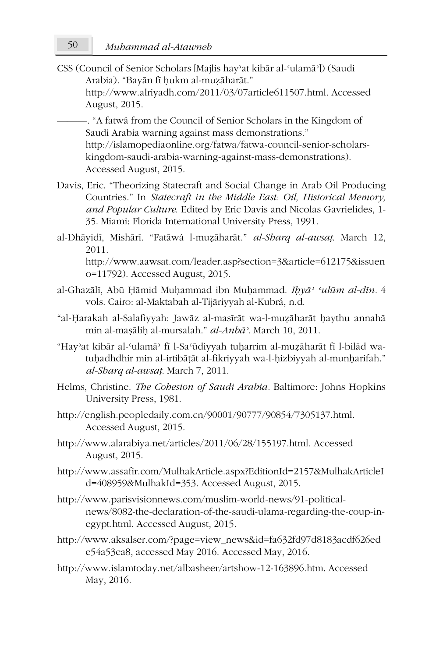CSS (Council of Senior Scholars [Majlis hay'at kibar al-'ulama']) (Saudi Arabia). "Bayān fī hukm al-muzāharāt." http://www.alriyadh.com/2011/03/07article611507.html. Accessed August, 2015.

-. "A fatwá from the Council of Senior Scholars in the Kingdom of Saudi Arabia warning against mass demonstrations." http://islamopediaonline.org/fatwa/fatwa-council-senior-scholarskingdom-saudi-arabia-warning-against-mass-demonstrations). Accessed August, 2015.

- Davis. Eric. "Theorizing Statecraft and Social Change in Arab Oil Producing Countries." In Statecraft in the Middle East: Oil, Historical Memory, and Popular Culture. Edited by Eric Davis and Nicolas Gavrielides, 1-35. Miami: Florida International University Press, 1991.
- al-Dhāyidī, Mishārī. "Fatāwá l-muzāharāt." al-Sharq al-awsaț. March 12, 2011 http://www.aawsat.com/leader.asp?section=3&article=612175&issuen o=11792). Accessed August, 2015.
- al-Ghazālī, Abū Hāmid Muhammad ibn Muhammad. Ibyā<sup>, culūm al-dīn. 4</sup> vols. Cairo: al-Maktabah al-Tijāriyyah al-Kubrá, n.d.
- "al-Harakah al-Salafiyyah: Jawāz al-masīrāt wa-l-muzāharāt haythu annahā min al-masālih al-mursalah." al-Anbā<sup>,</sup> March 10, 2011.
- "Hay'at kibār al-'ulamā' fī l-Sa'ūdiyyah tuḥarrim al-muẓāharāt fī l-bilād watuhadhdhir min al-irtibātāt al-fikriyyah wa-l-hizbiyyah al-munharifah." al-Sharq al-awsat. March 7, 2011.
- Helms, Christine. The Cohesion of Saudi Arabia. Baltimore: Johns Hopkins University Press, 1981.
- http://english.peopledaily.com.cn/90001/90777/90854/7305137.html. Accessed August, 2015.
- http://www.alarabiya.net/articles/2011/06/28/155197.html. Accessed August, 2015.
- http://www.assafir.com/MulhakArticle.aspx?EditionId=2157&MulhakArticleI d=408959&MulhakId=353. Accessed August, 2015.
- http://www.parisvisionnews.com/muslim-world-news/91-politicalnews/8082-the-declaration-of-the-saudi-ulama-regarding-the-coup-inegypt.html. Accessed August, 2015.
- http://www.aksalser.com/?page=view\_news&id=fa632fd97d8183acdf626ed e54a53ea8, accessed May 2016. Accessed May, 2016.
- http://www.islamtoday.net/albasheer/artshow-12-163896.htm. Accessed May, 2016.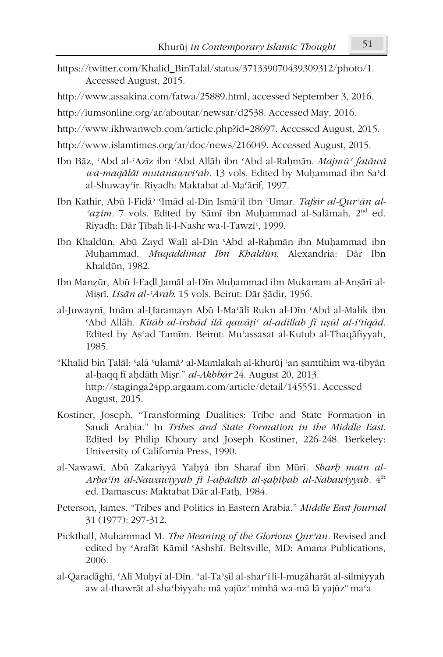- https://twitter.com/Khalid\_BinTalal/status/371339070439309312/photo/1. Accessed August, 2015.
- http://www.assakina.com/fatwa/25889.html, accessed September 3, 2016.
- http://iumsonline.org/ar/aboutar/newsar/d2538. Accessed May, 2016.
- http://www.ikhwanweb.com/article.php?id=28697. Accessed August, 2015.
- http://www.islamtimes.org/ar/doc/news/216049. Accessed August, 2015.
- Ibn Bāz, 'Abd al-'Azīz ibn 'Abd Allāh ibn 'Abd al-Raḥmān. Majmū' fatāwá wa-maqālāt mutanawwi'ah. 13 vols. Edited by Muhammad ibn Sa'd al-Shuway'ir. Riyadh: Maktabat al-Ma'ārif, 1997.
- Ibn Kathīr, Abū l-Fidā<sup>, «</sup>Imād al-Dīn Ismā<sup>c</sup>īl ibn <sup>«</sup>Umar. Tafsīr al-Qur'ān al-'azīm. 7 vols. Edited by Sāmī ibn Muḥammad al-Salāmah. 2<sup>nd</sup> ed. Riyadh: Dār Tībah li-l-Nashr wa-l-Tawzī<sup>c</sup>, 1999.
- Ibn Khaldūn, Abū Zayd Walī al-Dīn 'Abd al-Raḥmān ibn Muḥammad ibn Muhammad. Muqaddimat Ibn Khaldūn. Alexandria: Dār Ibn Khaldūn. 1982.
- Ibn Manzūr, Abū l-Fadl Jamāl al-Dīn Muḥammad ibn Mukarram al-Anṣārī al-Misrī. Lisān al-'Arab. 15 vols. Beirut: Dār Sādir, 1956.
- al-Juwaynī, Imām al-Haramayn Abū l-Ma'ālī Rukn al-Dīn 'Abd al-Malik ibn 'Abd Allāh. Kitāb al-irshād ilá qawāți' al-adillah fī ușūl al-i'tigād. Edited by As'ad Tamim. Beirut: Mu'assasat al-Kutub al-Thagāfiyyah, 1985.
- "Khalid bin Țalāl: 'alá 'ulamā' al-Mamlakah al-khurūj 'an șamtihim wa-tibyān al-haqq fi ahdāth Mişr." al-Akhbār 24. August 20, 2013. http://staginga24pp.argaam.com/article/detail/145551. Accessed August, 2015.
- Kostiner, Joseph. "Transforming Dualities: Tribe and State Formation in Saudi Arabia." In Tribes and State Formation in the Middle East. Edited by Philip Khoury and Joseph Kostiner, 226-248. Berkeley: University of California Press, 1990.
- al-Nawawī, Abū Zakariyyā Yahyá ibn Sharaf ibn Mūrī. Sharh matn al-Arba'in al-Nawawiyyah fi l-aḥādīth al-ṣaḥīḥah al-Nabawiyyah.  $4<sup>th</sup>$ ed. Damascus: Maktabat Dār al-Fath, 1984.
- Peterson, James. "Tribes and Politics in Eastern Arabia." Middle East Journal 31 (1977): 297-312.
- Pickthall, Muhammad M. The Meaning of the Glorious Qur'an. Revised and edited by 'Arafāt Kāmil 'Ashshī. Beltsville, MD: Amana Publications, 2006.
- al-Qaradāghī, 'Alī Muḥyī al-Dīn. "al-Ta'șīl al-shar'ī li-l-muẓāharāt al-silmiyyah aw al-thawrāt al-sha°biyyah: mā yajūz<sup>u</sup> minhā wa-mā lā yajūz<sup>u</sup> ma°a